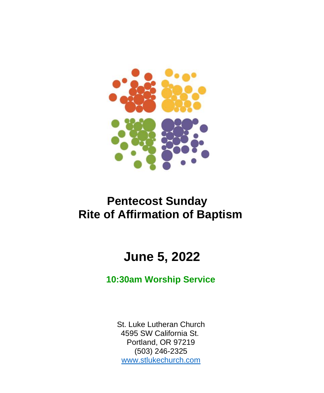

# **Pentecost Sunday Rite of Affirmation of Baptism**

# **June 5, 2022**

### **10:30am Worship Service**

St. Luke Lutheran Church 4595 SW California St. Portland, OR 97219 (503) 246-2325 [www.stlukechurch.com](http://www.stlukechurch.com/)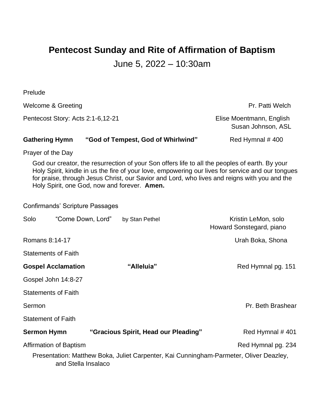## **Pentecost Sunday and Rite of Affirmation of Baptism**

### June 5, 2022 – 10:30am

| Prelude                                |                                    |                                              |                                                                                                                                                                                                                                                                                                     |
|----------------------------------------|------------------------------------|----------------------------------------------|-----------------------------------------------------------------------------------------------------------------------------------------------------------------------------------------------------------------------------------------------------------------------------------------------------|
| Welcome & Greeting                     |                                    |                                              | Pr. Patti Welch                                                                                                                                                                                                                                                                                     |
| Pentecost Story: Acts 2:1-6,12-21      |                                    |                                              | Elise Moentmann, English<br>Susan Johnson, ASL                                                                                                                                                                                                                                                      |
| <b>Gathering Hymn</b>                  | "God of Tempest, God of Whirlwind" |                                              | Red Hymnal #400                                                                                                                                                                                                                                                                                     |
| Prayer of the Day                      |                                    |                                              |                                                                                                                                                                                                                                                                                                     |
|                                        |                                    | Holy Spirit, one God, now and forever. Amen. | God our creator, the resurrection of your Son offers life to all the peoples of earth. By your<br>Holy Spirit, kindle in us the fire of your love, empowering our lives for service and our tongues<br>for praise, through Jesus Christ, our Savior and Lord, who lives and reigns with you and the |
| <b>Confirmands' Scripture Passages</b> |                                    |                                              |                                                                                                                                                                                                                                                                                                     |
| Solo                                   | "Come Down, Lord"                  | by Stan Pethel                               | Kristin LeMon, solo<br>Howard Sonstegard, piano                                                                                                                                                                                                                                                     |
| Romans 8:14-17                         |                                    |                                              | Urah Boka, Shona                                                                                                                                                                                                                                                                                    |
| <b>Statements of Faith</b>             |                                    |                                              |                                                                                                                                                                                                                                                                                                     |
| <b>Gospel Acclamation</b>              |                                    | "Alleluia"                                   | Red Hymnal pg. 151                                                                                                                                                                                                                                                                                  |
| Gospel John 14:8-27                    |                                    |                                              |                                                                                                                                                                                                                                                                                                     |
| <b>Statements of Faith</b>             |                                    |                                              |                                                                                                                                                                                                                                                                                                     |
| Sermon                                 |                                    |                                              | Pr. Beth Brashear                                                                                                                                                                                                                                                                                   |
| <b>Statement of Faith</b>              |                                    |                                              |                                                                                                                                                                                                                                                                                                     |
| <b>Sermon Hymn</b>                     |                                    | "Gracious Spirit, Head our Pleading"         | Red Hymnal #401                                                                                                                                                                                                                                                                                     |
| Affirmation of Baptism                 |                                    |                                              | Red Hymnal pg. 234                                                                                                                                                                                                                                                                                  |
|                                        | and Stella Insalaco                |                                              | Presentation: Matthew Boka, Juliet Carpenter, Kai Cunningham-Parmeter, Oliver Deazley,                                                                                                                                                                                                              |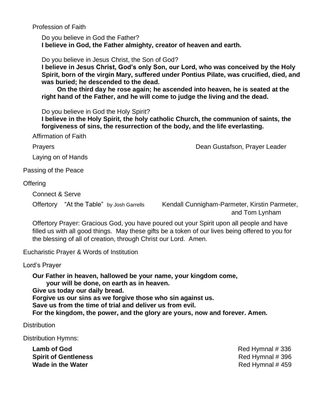Profession of Faith

Do you believe in God the Father? **I believe in God, the Father almighty, creator of heaven and earth.**

Do you believe in Jesus Christ, the Son of God?

**I believe in Jesus Christ, God's only Son, our Lord, who was conceived by the Holy Spirit, born of the virgin Mary, suffered under Pontius Pilate, was crucified, died, and was buried; he descended to the dead.**

**On the third day he rose again; he ascended into heaven, he is seated at the right hand of the Father, and he will come to judge the living and the dead.**

Do you believe in God the Holy Spirit?

**I believe in the Holy Spirit, the holy catholic Church, the communion of saints, the forgiveness of sins, the resurrection of the body, and the life everlasting.**

Affirmation of Faith

Prayers **Dean Gustafson, Prayer Leader Dean Gustafson, Prayer Leader** 

Laying on of Hands

Passing of the Peace

**Offering** 

Connect & Serve

Offertory "At the Table" by Josh Garrells Kendall Cunnigham-Parmeter, Kirstin Parmeter, and Tom Lynham

Offertory Prayer: Gracious God, you have poured out your Spirit upon all people and have filled us with all good things. May these gifts be a token of our lives being offered to you for the blessing of all of creation, through Christ our Lord. Amen.

Eucharistic Prayer & Words of Institution

Lord's Prayer

**Our Father in heaven, hallowed be your name, your kingdom come, your will be done, on earth as in heaven. Give us today our daily bread. Forgive us our sins as we forgive those who sin against us. Save us from the time of trial and deliver us from evil. For the kingdom, the power, and the glory are yours, now and forever. Amen.**

**Distribution** 

Distribution Hymns:

**Lamb of God Red Hymnal # 336 Spirit of Gentleness Red Hymnal # 396 Wade in the Water Red Hymnal # 459**